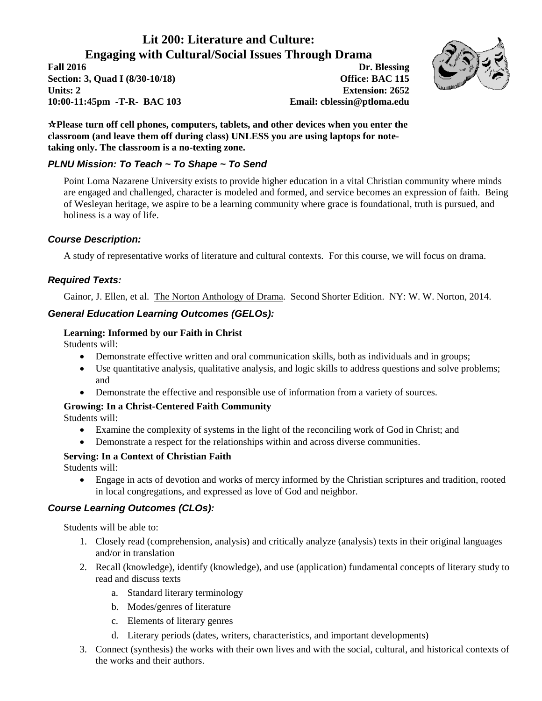# **Lit 200: Literature and Culture: Engaging with Cultural/Social Issues Through Drama**

**Fall 2016 Dr. Blessing Section: 3, Quad I (8/30-10/18) Office: BAC 115 Units: 2 Extension: 2652 10:00-11:45pm -T-R- BAC 103 Email: cblessin@ptloma.edu**



**Please turn off cell phones, computers, tablets, and other devices when you enter the classroom (and leave them off during class) UNLESS you are using laptops for notetaking only. The classroom is a no-texting zone.**

# *PLNU Mission: To Teach ~ To Shape ~ To Send*

Point Loma Nazarene University exists to provide higher education in a vital Christian community where minds are engaged and challenged, character is modeled and formed, and service becomes an expression of faith. Being of Wesleyan heritage, we aspire to be a learning community where grace is foundational, truth is pursued, and holiness is a way of life.

# *Course Description:*

A study of representative works of literature and cultural contexts. For this course, we will focus on drama.

# *Required Texts:*

Gainor, J. Ellen, et al. The Norton Anthology of Drama. Second Shorter Edition. NY: W. W. Norton, 2014.

# *General Education Learning Outcomes (GELOs):*

#### **Learning: Informed by our Faith in Christ**

Students will:

- Demonstrate effective written and oral communication skills, both as individuals and in groups;
- Use quantitative analysis, qualitative analysis, and logic skills to address questions and solve problems; and
- Demonstrate the effective and responsible use of information from a variety of sources.

# **Growing: In a Christ-Centered Faith Community**

Students will:

- Examine the complexity of systems in the light of the reconciling work of God in Christ; and
- Demonstrate a respect for the relationships within and across diverse communities.

# **Serving: In a Context of Christian Faith**

Students will:

 Engage in acts of devotion and works of mercy informed by the Christian scriptures and tradition, rooted in local congregations, and expressed as love of God and neighbor.

# *Course Learning Outcomes (CLOs):*

Students will be able to:

- 1. Closely read (comprehension, analysis) and critically analyze (analysis) texts in their original languages and/or in translation
- 2. Recall (knowledge), identify (knowledge), and use (application) fundamental concepts of literary study to read and discuss texts
	- a. Standard literary terminology
	- b. Modes/genres of literature
	- c. Elements of literary genres
	- d. Literary periods (dates, writers, characteristics, and important developments)
- 3. Connect (synthesis) the works with their own lives and with the social, cultural, and historical contexts of the works and their authors.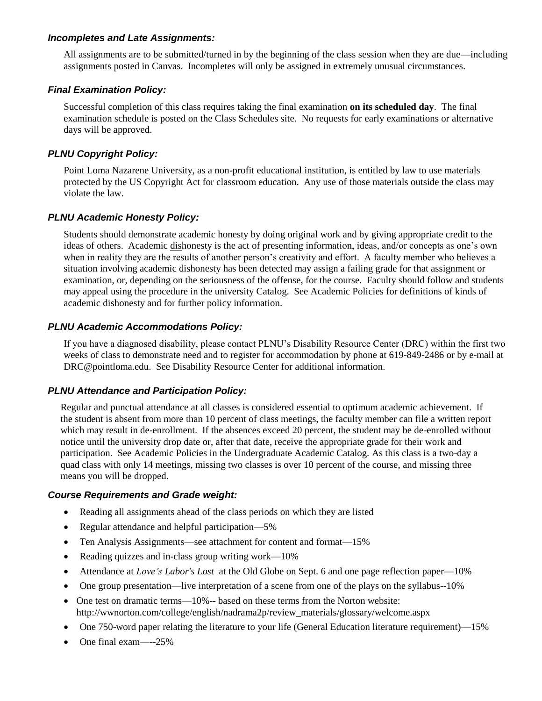#### *Incompletes and Late Assignments:*

All assignments are to be submitted/turned in by the beginning of the class session when they are due—including assignments posted in Canvas. Incompletes will only be assigned in extremely unusual circumstances.

# *Final Examination Policy:*

Successful completion of this class requires taking the final examination **on its scheduled day**. The final examination schedule is posted on the Class Schedules site. No requests for early examinations or alternative days will be approved.

# *PLNU Copyright Policy:*

Point Loma Nazarene University, as a non-profit educational institution, is entitled by law to use materials protected by the US Copyright Act for classroom education. Any use of those materials outside the class may violate the law.

# *PLNU Academic Honesty Policy:*

Students should demonstrate academic honesty by doing original work and by giving appropriate credit to the ideas of others. Academic dishonesty is the act of presenting information, ideas, and/or concepts as one's own when in reality they are the results of another person's creativity and effort. A faculty member who believes a situation involving academic dishonesty has been detected may assign a failing grade for that assignment or examination, or, depending on the seriousness of the offense, for the course. Faculty should follow and students may appeal using the procedure in the university Catalog. See Academic Policies for definitions of kinds of academic dishonesty and for further policy information.

# *PLNU Academic Accommodations Policy:*

If you have a diagnosed disability, please contact PLNU's Disability Resource Center (DRC) within the first two weeks of class to demonstrate need and to register for accommodation by phone at 619-849-2486 or by e-mail at DRC@pointloma.edu. See Disability Resource Center for additional information.

# *PLNU Attendance and Participation Policy:*

Regular and punctual attendance at all classes is considered essential to optimum academic achievement. If the student is absent from more than 10 percent of class meetings, the faculty member can file a written report which may result in de-enrollment. If the absences exceed 20 percent, the student may be de-enrolled without notice until the university drop date or, after that date, receive the appropriate grade for their work and participation. See Academic Policies in the Undergraduate Academic Catalog. As this class is a two-day a quad class with only 14 meetings, missing two classes is over 10 percent of the course, and missing three means you will be dropped.

# *Course Requirements and Grade weight:*

- Reading all assignments ahead of the class periods on which they are listed
- Regular attendance and helpful participation—5%
- Ten Analysis Assignments—see attachment for content and format—15%
- Reading quizzes and in-class group writing work—10%
- Attendance at *Love's Labor's Lost* at the Old Globe on Sept. 6 and one page reflection paper—10%
- One group presentation—live interpretation of a scene from one of the plays on the syllabus--10%
- $\bullet$  One test on dramatic terms—10%-- based on these terms from the Norton website: http://wwnorton.com/college/english/nadrama2p/review\_materials/glossary/welcome.aspx
- One 750-word paper relating the literature to your life (General Education literature requirement)—15%
- One final exam—--25%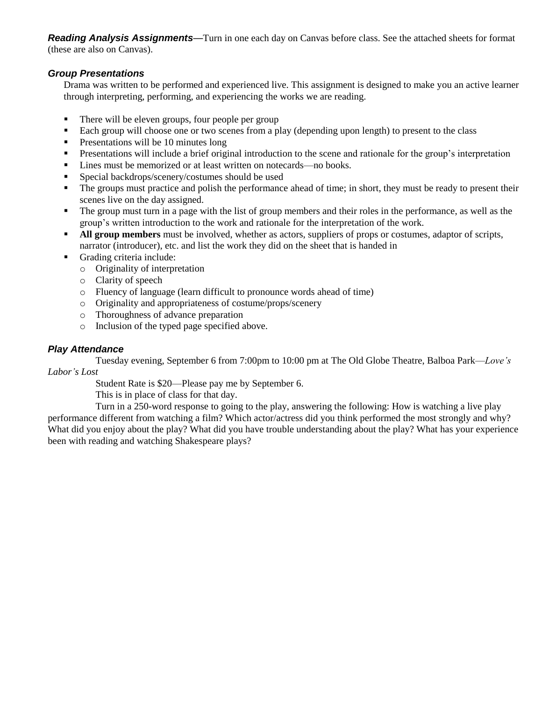*Reading Analysis Assignments*—Turn in one each day on Canvas before class. See the attached sheets for format (these are also on Canvas).

# *Group Presentations*

Drama was written to be performed and experienced live. This assignment is designed to make you an active learner through interpreting, performing, and experiencing the works we are reading.

- There will be eleven groups, four people per group
- Each group will choose one or two scenes from a play (depending upon length) to present to the class
- **Presentations will be 10 minutes long**
- **Presentations will include a brief original introduction to the scene and rationale for the group's interpretation**
- Lines must be memorized or at least written on notecards—no books.
- **Special backdrops/scenery/costumes should be used**
- The groups must practice and polish the performance ahead of time; in short, they must be ready to present their scenes live on the day assigned.
- The group must turn in a page with the list of group members and their roles in the performance, as well as the group's written introduction to the work and rationale for the interpretation of the work.
- **All group members** must be involved, whether as actors, suppliers of props or costumes, adaptor of scripts, narrator (introducer), etc. and list the work they did on the sheet that is handed in
- Grading criteria include:
	- o Originality of interpretation
	- o Clarity of speech
	- o Fluency of language (learn difficult to pronounce words ahead of time)
	- o Originality and appropriateness of costume/props/scenery
	- o Thoroughness of advance preparation
	- o Inclusion of the typed page specified above.

# *Play Attendance*

Tuesday evening, September 6 from 7:00pm to 10:00 pm at The Old Globe Theatre, Balboa Park—*Love's Labor's Lost*

Student Rate is \$20—Please pay me by September 6.

This is in place of class for that day.

Turn in a 250-word response to going to the play, answering the following: How is watching a live play performance different from watching a film? Which actor/actress did you think performed the most strongly and why? What did you enjoy about the play? What did you have trouble understanding about the play? What has your experience been with reading and watching Shakespeare plays?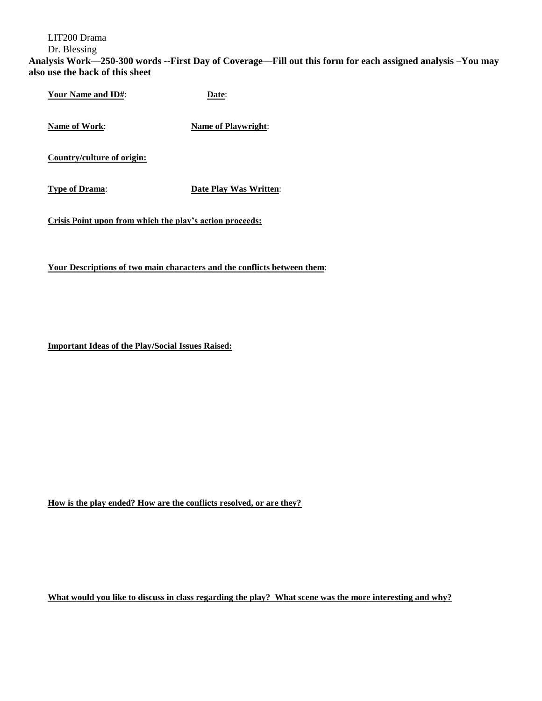LIT200 Drama

Dr. Blessing

**Analysis Work—250-300 words --First Day of Coverage—Fill out this form for each assigned analysis –You may also use the back of this sheet** 

**Your Name and ID#**: **Date**:

**Name of Work: Name of Playwright:** 

**Country/culture of origin:**

**Type of Drama**: **Date Play Was Written**:

**Crisis Point upon from which the play's action proceeds:**

**Your Descriptions of two main characters and the conflicts between them**:

**Important Ideas of the Play/Social Issues Raised:**

**How is the play ended? How are the conflicts resolved, or are they?**

**What would you like to discuss in class regarding the play? What scene was the more interesting and why?**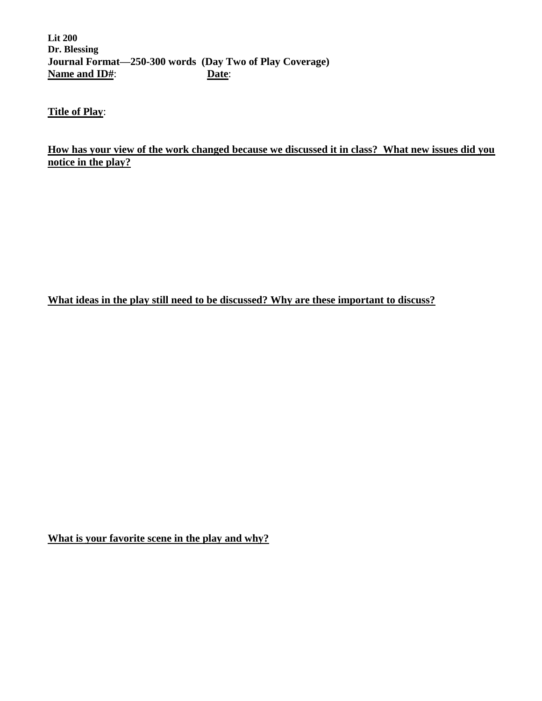**Lit 200 Dr. Blessing Journal Format—250-300 words (Day Two of Play Coverage) Name and ID#**: **Date**:

**Title of Play**:

**How has your view of the work changed because we discussed it in class? What new issues did you notice in the play?**

**What ideas in the play still need to be discussed? Why are these important to discuss?**

**What is your favorite scene in the play and why?**